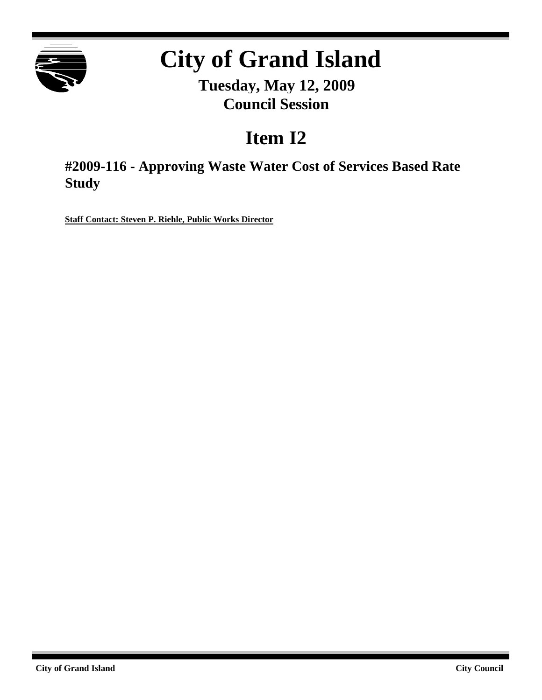

# **City of Grand Island**

**Tuesday, May 12, 2009 Council Session**

## **Item I2**

**#2009-116 - Approving Waste Water Cost of Services Based Rate Study**

**Staff Contact: Steven P. Riehle, Public Works Director**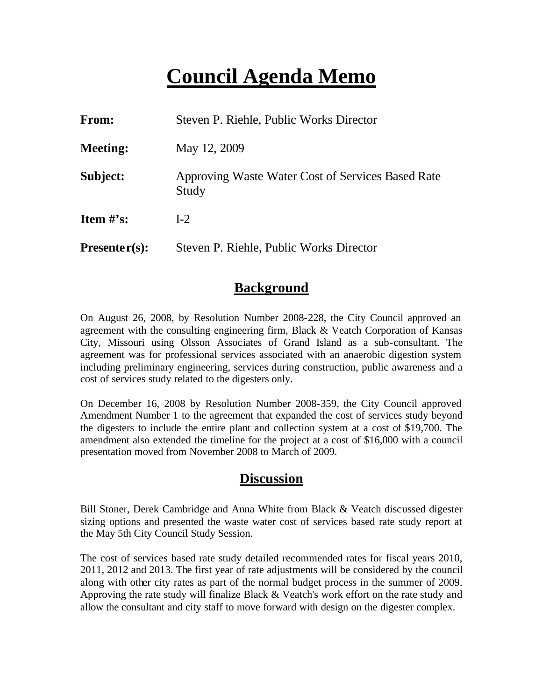### **Council Agenda Memo**

| From:           | Steven P. Riehle, Public Works Director                    |
|-----------------|------------------------------------------------------------|
| <b>Meeting:</b> | May 12, 2009                                               |
| Subject:        | Approving Waste Water Cost of Services Based Rate<br>Study |
| Item $\#$ 's:   | $I-2$                                                      |
| $Presenter(s):$ | Steven P. Riehle, Public Works Director                    |

#### **Background**

On August 26, 2008, by Resolution Number 2008-228, the City Council approved an agreement with the consulting engineering firm, Black & Veatch Corporation of Kansas City, Missouri using Olsson Associates of Grand Island as a sub-consultant. The agreement was for professional services associated with an anaerobic digestion system including preliminary engineering, services during construction, public awareness and a cost of services study related to the digesters only.

On December 16, 2008 by Resolution Number 2008-359, the City Council approved Amendment Number 1 to the agreement that expanded the cost of services study beyond the digesters to include the entire plant and collection system at a cost of \$19,700. The amendment also extended the timeline for the project at a cost of \$16,000 with a council presentation moved from November 2008 to March of 2009.

#### **Discussion**

Bill Stoner, Derek Cambridge and Anna White from Black & Veatch discussed digester sizing options and presented the waste water cost of services based rate study report at the May 5th City Council Study Session.

The cost of services based rate study detailed recommended rates for fiscal years 2010, 2011, 2012 and 2013. The first year of rate adjustments will be considered by the council along with other city rates as part of the normal budget process in the summer of 2009. Approving the rate study will finalize Black & Veatch's work effort on the rate study and allow the consultant and city staff to move forward with design on the digester complex.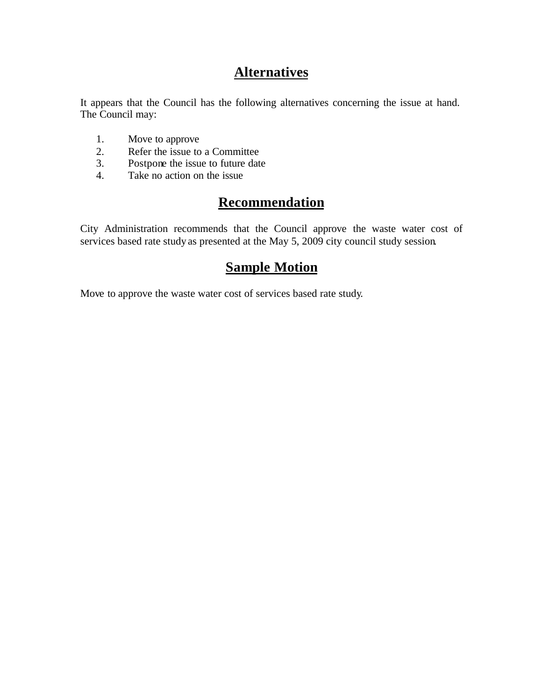### **Alternatives**

It appears that the Council has the following alternatives concerning the issue at hand. The Council may:

- 1. Move to approve
- 2. Refer the issue to a Committee<br>3. Postpone the issue to future date
- Postpone the issue to future date
- 4. Take no action on the issue

### **Recommendation**

City Administration recommends that the Council approve the waste water cost of services based rate study as presented at the May 5, 2009 city council study session.

#### **Sample Motion**

Move to approve the waste water cost of services based rate study.